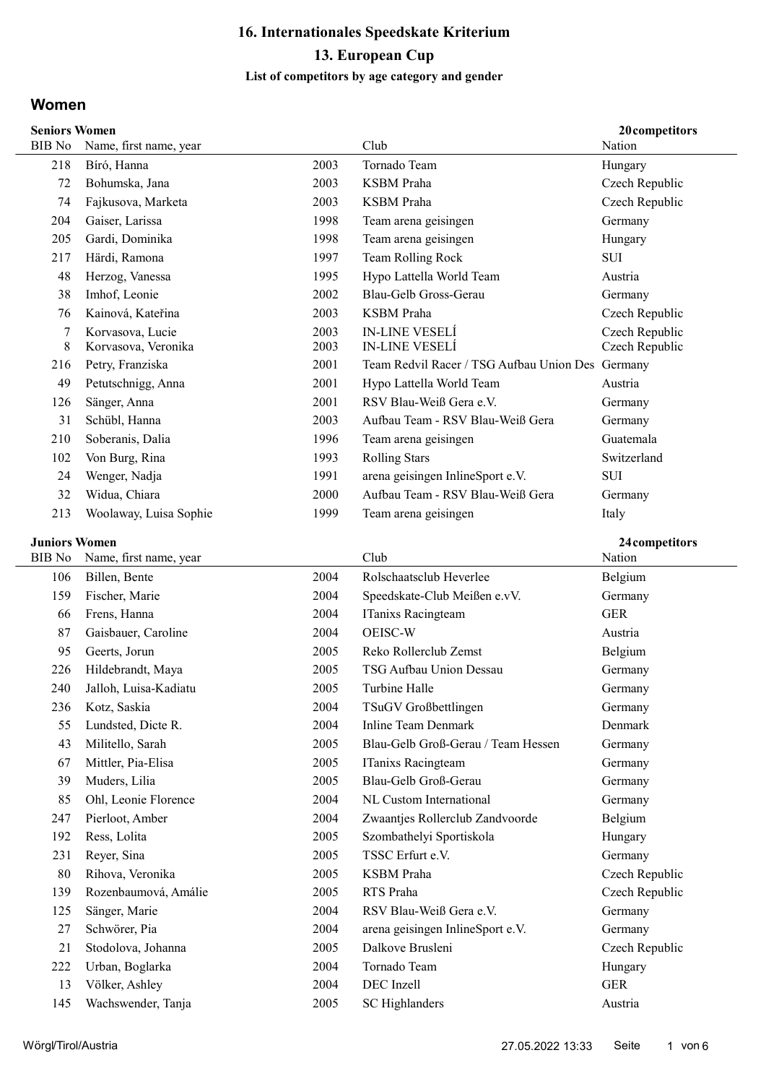#### List of competitors by age category and gender

### Women

| <b>Seniors Women</b>                   | 20 competitors         |      |                                                  |                |
|----------------------------------------|------------------------|------|--------------------------------------------------|----------------|
| <b>BIB</b> No                          | Name, first name, year |      | Club                                             | Nation         |
| 218                                    | Bíró, Hanna            | 2003 | Tornado Team                                     | Hungary        |
| 72                                     | Bohumska, Jana         | 2003 | <b>KSBM</b> Praha                                | Czech Republic |
| 74                                     | Fajkusova, Marketa     | 2003 | <b>KSBM</b> Praha                                | Czech Republic |
| 204                                    | Gaiser, Larissa        | 1998 | Team arena geisingen                             | Germany        |
| 205                                    | Gardi, Dominika        | 1998 | Team arena geisingen                             | Hungary        |
| 217                                    | Härdi, Ramona          | 1997 | Team Rolling Rock                                | <b>SUI</b>     |
| 48                                     | Herzog, Vanessa        | 1995 | Hypo Lattella World Team                         | Austria        |
| 38                                     | Imhof, Leonie          | 2002 | Blau-Gelb Gross-Gerau                            | Germany        |
| 76                                     | Kainová, Kateřina      | 2003 | <b>KSBM</b> Praha                                | Czech Republic |
| 7                                      | Korvasova, Lucie       | 2003 | <b>IN-LINE VESELÍ</b>                            | Czech Republic |
| 8                                      | Korvasova, Veronika    | 2003 | <b>IN-LINE VESELI</b>                            | Czech Republic |
| 216                                    | Petry, Franziska       | 2001 | Team Redvil Racer / TSG Aufbau Union Des Germany |                |
| 49                                     | Petutschnigg, Anna     | 2001 | Hypo Lattella World Team                         | Austria        |
| 126                                    | Sänger, Anna           | 2001 | RSV Blau-Weiß Gera e.V.                          | Germany        |
| 31                                     | Schübl, Hanna          | 2003 | Aufbau Team - RSV Blau-Weiß Gera                 | Germany        |
| 210                                    | Soberanis, Dalia       | 1996 | Team arena geisingen                             | Guatemala      |
| 102                                    | Von Burg, Rina         | 1993 | <b>Rolling Stars</b>                             | Switzerland    |
| 24                                     | Wenger, Nadja          | 1991 | arena geisingen InlineSport e.V.                 | <b>SUI</b>     |
| 32                                     | Widua, Chiara          | 2000 | Aufbau Team - RSV Blau-Weiß Gera                 | Germany        |
| 213                                    | Woolaway, Luisa Sophie | 1999 | Team arena geisingen                             | Italy          |
| <b>Juniors Women</b><br>24 competitors |                        |      |                                                  |                |
| BIB No                                 | Name, first name, year |      | Club                                             | Nation         |

| BIB No | Name, first name, year |      | Club                               | Nation         |
|--------|------------------------|------|------------------------------------|----------------|
| 106    | Billen, Bente          | 2004 | Rolschaatsclub Heverlee            | Belgium        |
| 159    | Fischer, Marie         | 2004 | Speedskate-Club Meißen e.vV.       | Germany        |
| 66     | Frens, Hanna           | 2004 | ITanixs Racingteam                 | <b>GER</b>     |
| 87     | Gaisbauer, Caroline    | 2004 | OEISC-W                            | Austria        |
| 95     | Geerts, Jorun          | 2005 | Reko Rollerclub Zemst              | Belgium        |
| 226    | Hildebrandt, Maya      | 2005 | TSG Aufbau Union Dessau            | Germany        |
| 240    | Jalloh, Luisa-Kadiatu  | 2005 | Turbine Halle                      | Germany        |
| 236    | Kotz, Saskia           | 2004 | TSuGV Großbettlingen               | Germany        |
| 55     | Lundsted, Dicte R.     | 2004 | Inline Team Denmark                | Denmark        |
| 43     | Militello, Sarah       | 2005 | Blau-Gelb Groß-Gerau / Team Hessen | Germany        |
| 67     | Mittler, Pia-Elisa     | 2005 | ITanixs Racingteam                 | Germany        |
| 39     | Muders, Lilia          | 2005 | Blau-Gelb Groß-Gerau               | Germany        |
| 85     | Ohl, Leonie Florence   | 2004 | NL Custom International            | Germany        |
| 247    | Pierloot, Amber        | 2004 | Zwaantjes Rollerclub Zandvoorde    | Belgium        |
| 192    | Ress, Lolita           | 2005 | Szombathelyi Sportiskola           | Hungary        |
| 231    | Reyer, Sina            | 2005 | TSSC Erfurt e.V.                   | Germany        |
| 80     | Rihova, Veronika       | 2005 | <b>KSBM</b> Praha                  | Czech Republic |
| 139    | Rozenbaumová, Amálie   | 2005 | RTS Praha                          | Czech Republic |
| 125    | Sänger, Marie          | 2004 | RSV Blau-Weiß Gera e.V.            | Germany        |
| 27     | Schwörer, Pia          | 2004 | arena geisingen InlineSport e.V.   | Germany        |
| 21     | Stodolova, Johanna     | 2005 | Dalkove Brusleni                   | Czech Republic |
| 222    | Urban, Boglarka        | 2004 | Tornado Team                       | Hungary        |
| 13     | Völker, Ashley         | 2004 | DEC Inzell                         | <b>GER</b>     |
| 145    | Wachswender, Tanja     | 2005 | SC Highlanders                     | Austria        |
|        |                        |      |                                    |                |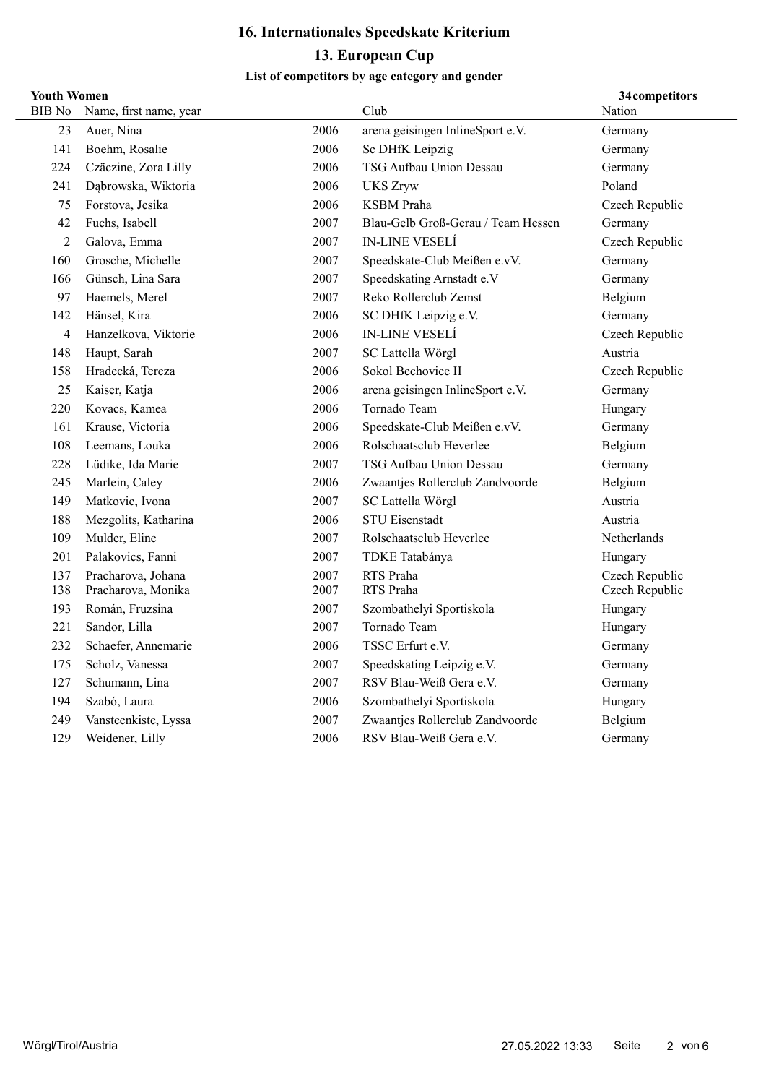#### List of competitors by age category and gender

### Youth Women

|                | 34 competitors<br><b>Youth Women</b> |      |                                    |                |  |  |
|----------------|--------------------------------------|------|------------------------------------|----------------|--|--|
| <b>BIB</b> No  | Name, first name, year               |      | Club                               | Nation         |  |  |
| 23             | Auer, Nina                           | 2006 | arena geisingen InlineSport e.V.   | Germany        |  |  |
| 141            | Boehm, Rosalie                       | 2006 | Sc DHfK Leipzig                    | Germany        |  |  |
| 224            | Czäczine, Zora Lilly                 | 2006 | TSG Aufbau Union Dessau            | Germany        |  |  |
| 241            | Dąbrowska, Wiktoria                  | 2006 | <b>UKS Zryw</b>                    | Poland         |  |  |
| 75             | Forstova, Jesika                     | 2006 | <b>KSBM</b> Praha                  | Czech Republic |  |  |
| 42             | Fuchs, Isabell                       | 2007 | Blau-Gelb Groß-Gerau / Team Hessen | Germany        |  |  |
| $\overline{2}$ | Galova, Emma                         | 2007 | <b>IN-LINE VESELÍ</b>              | Czech Republic |  |  |
| 160            | Grosche, Michelle                    | 2007 | Speedskate-Club Meißen e.vV.       | Germany        |  |  |
| 166            | Günsch, Lina Sara                    | 2007 | Speedskating Arnstadt e.V          | Germany        |  |  |
| 97             | Haemels, Merel                       | 2007 | Reko Rollerclub Zemst              | Belgium        |  |  |
| 142            | Hänsel, Kira                         | 2006 | SC DHfK Leipzig e.V.               | Germany        |  |  |
| $\overline{4}$ | Hanzelkova, Viktorie                 | 2006 | <b>IN-LINE VESELÍ</b>              | Czech Republic |  |  |
| 148            | Haupt, Sarah                         | 2007 | SC Lattella Wörgl                  | Austria        |  |  |
| 158            | Hradecká, Tereza                     | 2006 | Sokol Bechovice II                 | Czech Republic |  |  |
| 25             | Kaiser, Katja                        | 2006 | arena geisingen InlineSport e.V.   | Germany        |  |  |
| 220            | Kovacs, Kamea                        | 2006 | Tornado Team                       | Hungary        |  |  |
| 161            | Krause, Victoria                     | 2006 | Speedskate-Club Meißen e.vV.       | Germany        |  |  |
| 108            | Leemans, Louka                       | 2006 | Rolschaatsclub Heverlee            | Belgium        |  |  |
| 228            | Lüdike, Ida Marie                    | 2007 | TSG Aufbau Union Dessau            | Germany        |  |  |
| 245            | Marlein, Caley                       | 2006 | Zwaantjes Rollerclub Zandvoorde    | Belgium        |  |  |
| 149            | Matkovic, Ivona                      | 2007 | SC Lattella Wörgl                  | Austria        |  |  |
| 188            | Mezgolits, Katharina                 | 2006 | <b>STU Eisenstadt</b>              | Austria        |  |  |
| 109            | Mulder, Eline                        | 2007 | Rolschaatsclub Heverlee            | Netherlands    |  |  |
| 201            | Palakovics, Fanni                    | 2007 | TDKE Tatabánya                     | Hungary        |  |  |
| 137            | Pracharova, Johana                   | 2007 | RTS Praha                          | Czech Republic |  |  |
| 138            | Pracharova, Monika                   | 2007 | RTS Praha                          | Czech Republic |  |  |
| 193            | Román, Fruzsina                      | 2007 | Szombathelyi Sportiskola           | Hungary        |  |  |
| 221            | Sandor, Lilla                        | 2007 | Tornado Team                       | Hungary        |  |  |
| 232            | Schaefer, Annemarie                  | 2006 | TSSC Erfurt e.V.                   | Germany        |  |  |
| 175            | Scholz, Vanessa                      | 2007 | Speedskating Leipzig e.V.          | Germany        |  |  |
| 127            | Schumann, Lina                       | 2007 | RSV Blau-Weiß Gera e.V.            | Germany        |  |  |
| 194            | Szabó, Laura                         | 2006 | Szombathelyi Sportiskola           | Hungary        |  |  |
| 249            | Vansteenkiste, Lyssa                 | 2007 | Zwaantjes Rollerclub Zandvoorde    | Belgium        |  |  |
| 129            | Weidener, Lilly                      | 2006 | RSV Blau-Weiß Gera e.V.            | Germany        |  |  |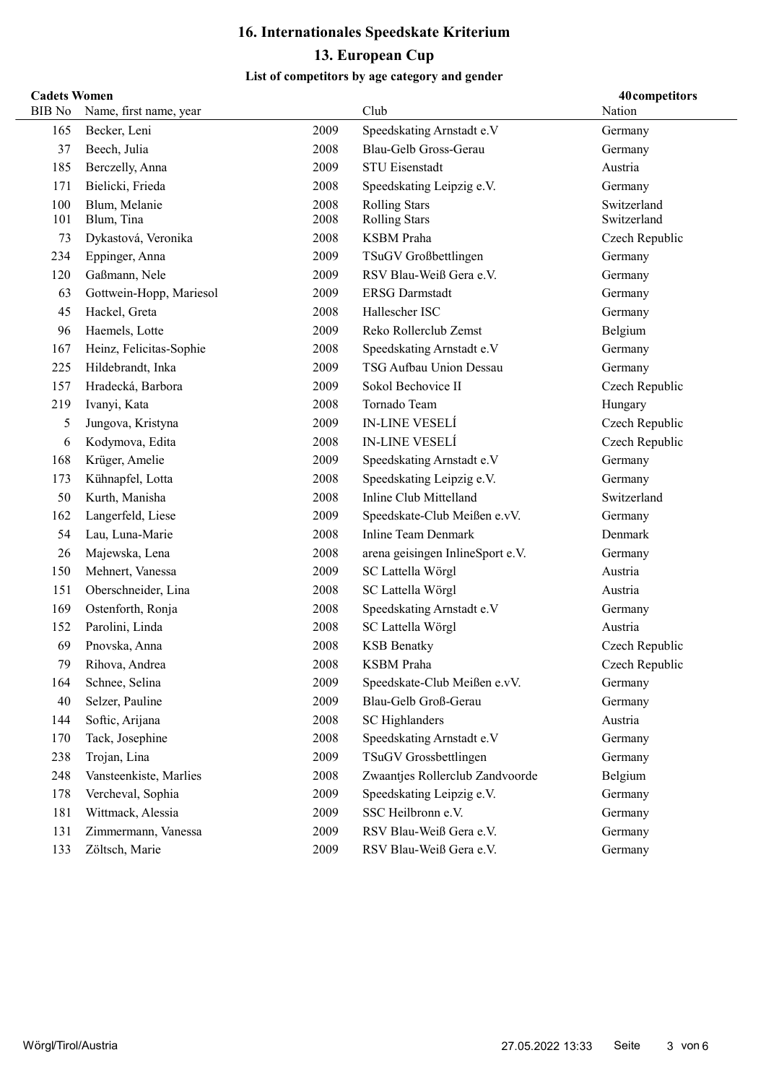#### List of competitors by age category and gender

### Cadets Women

|               | <b>Cadets Women</b><br>40competitors |      |                                  |                |  |  |
|---------------|--------------------------------------|------|----------------------------------|----------------|--|--|
| <b>BIB</b> No | Name, first name, year               |      | Club                             | Nation         |  |  |
| 165           | Becker, Leni                         | 2009 | Speedskating Arnstadt e.V        | Germany        |  |  |
| 37            | Beech, Julia                         | 2008 | Blau-Gelb Gross-Gerau            | Germany        |  |  |
| 185           | Berczelly, Anna                      | 2009 | <b>STU Eisenstadt</b>            | Austria        |  |  |
| 171           | Bielicki, Frieda                     | 2008 | Speedskating Leipzig e.V.        | Germany        |  |  |
| 100           | Blum, Melanie                        | 2008 | <b>Rolling Stars</b>             | Switzerland    |  |  |
| 101           | Blum, Tina                           | 2008 | <b>Rolling Stars</b>             | Switzerland    |  |  |
| 73            | Dykastová, Veronika                  | 2008 | <b>KSBM</b> Praha                | Czech Republic |  |  |
| 234           | Eppinger, Anna                       | 2009 | TSuGV Großbettlingen             | Germany        |  |  |
| 120           | Gaßmann, Nele                        | 2009 | RSV Blau-Weiß Gera e.V.          | Germany        |  |  |
| 63            | Gottwein-Hopp, Mariesol              | 2009 | <b>ERSG</b> Darmstadt            | Germany        |  |  |
| 45            | Hackel, Greta                        | 2008 | Hallescher ISC                   | Germany        |  |  |
| 96            | Haemels, Lotte                       | 2009 | Reko Rollerclub Zemst            | Belgium        |  |  |
| 167           | Heinz, Felicitas-Sophie              | 2008 | Speedskating Arnstadt e.V        | Germany        |  |  |
| 225           | Hildebrandt, Inka                    | 2009 | TSG Aufbau Union Dessau          | Germany        |  |  |
| 157           | Hradecká, Barbora                    | 2009 | Sokol Bechovice II               | Czech Republic |  |  |
| 219           | Ivanyi, Kata                         | 2008 | Tornado Team                     | Hungary        |  |  |
| 5             | Jungova, Kristyna                    | 2009 | <b>IN-LINE VESELÍ</b>            | Czech Republic |  |  |
| 6             | Kodymova, Edita                      | 2008 | <b>IN-LINE VESELÍ</b>            | Czech Republic |  |  |
| 168           | Krüger, Amelie                       | 2009 | Speedskating Arnstadt e.V        | Germany        |  |  |
| 173           | Kühnapfel, Lotta                     | 2008 | Speedskating Leipzig e.V.        | Germany        |  |  |
| 50            | Kurth, Manisha                       | 2008 | Inline Club Mittelland           | Switzerland    |  |  |
| 162           | Langerfeld, Liese                    | 2009 | Speedskate-Club Meißen e.vV.     | Germany        |  |  |
| 54            | Lau, Luna-Marie                      | 2008 | <b>Inline Team Denmark</b>       | Denmark        |  |  |
| 26            | Majewska, Lena                       | 2008 | arena geisingen InlineSport e.V. | Germany        |  |  |
| 150           | Mehnert, Vanessa                     | 2009 | SC Lattella Wörgl                | Austria        |  |  |
| 151           | Oberschneider, Lina                  | 2008 | SC Lattella Wörgl                | Austria        |  |  |
| 169           | Ostenforth, Ronja                    | 2008 | Speedskating Arnstadt e.V        | Germany        |  |  |
| 152           | Parolini, Linda                      | 2008 | SC Lattella Wörgl                | Austria        |  |  |
| 69            | Pnovska, Anna                        | 2008 | <b>KSB</b> Benatky               | Czech Republic |  |  |
| 79            | Rihova, Andrea                       | 2008 | <b>KSBM</b> Praha                | Czech Republic |  |  |
| 164           | Schnee, Selina                       | 2009 | Speedskate-Club Meißen e.vV.     | Germany        |  |  |
| 40            | Selzer, Pauline                      | 2009 | Blau-Gelb Groß-Gerau             | Germany        |  |  |
| 144           | Softic, Arijana                      | 2008 | SC Highlanders                   | Austria        |  |  |
| 170           | Tack, Josephine                      | 2008 | Speedskating Arnstadt e.V        | Germany        |  |  |
| 238           | Trojan, Lina                         | 2009 | TSuGV Grossbettlingen            | Germany        |  |  |
| 248           | Vansteenkiste, Marlies               | 2008 | Zwaantjes Rollerclub Zandvoorde  | Belgium        |  |  |
| 178           | Vercheval, Sophia                    | 2009 | Speedskating Leipzig e.V.        | Germany        |  |  |
| 181           | Wittmack, Alessia                    | 2009 | SSC Heilbronn e.V.               | Germany        |  |  |
| 131           | Zimmermann, Vanessa                  | 2009 | RSV Blau-Weiß Gera e.V.          | Germany        |  |  |
| 133           | Zöltsch, Marie                       | 2009 | RSV Blau-Weiß Gera e.V.          | Germany        |  |  |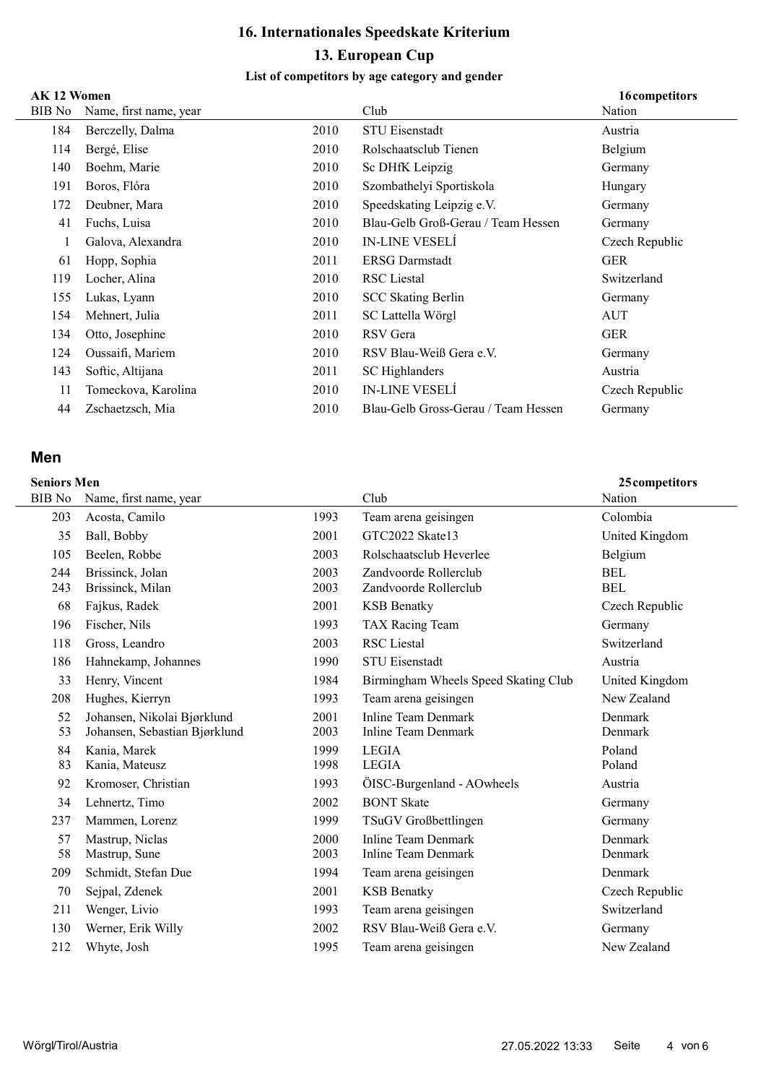#### List of competitors by age category and gender

### $\overline{AY}$  12 Wo

|        | AK 12 Women<br>16competitors |      |                                     |                |  |  |
|--------|------------------------------|------|-------------------------------------|----------------|--|--|
| BIB No | Name, first name, year       |      | Club                                | Nation         |  |  |
| 184    | Berczelly, Dalma             | 2010 | <b>STU Eisenstadt</b>               | Austria        |  |  |
| 114    | Bergé, Elise                 | 2010 | Rolschaatsclub Tienen               | Belgium        |  |  |
| 140    | Boehm, Marie                 | 2010 | Sc DHfK Leipzig                     | Germany        |  |  |
| 191    | Boros, Flóra                 | 2010 | Szombathelyi Sportiskola            | Hungary        |  |  |
| 172    | Deubner, Mara                | 2010 | Speedskating Leipzig e.V.           | Germany        |  |  |
| 41     | Fuchs, Luisa                 | 2010 | Blau-Gelb Groß-Gerau / Team Hessen  | Germany        |  |  |
|        | Galova, Alexandra            | 2010 | <b>IN-LINE VESELÍ</b>               | Czech Republic |  |  |
| 61     | Hopp, Sophia                 | 2011 | <b>ERSG Darmstadt</b>               | <b>GER</b>     |  |  |
| 119    | Locher, Alina                | 2010 | <b>RSC</b> Liestal                  | Switzerland    |  |  |
| 155    | Lukas, Lyann                 | 2010 | <b>SCC Skating Berlin</b>           | Germany        |  |  |
| 154    | Mehnert, Julia               | 2011 | SC Lattella Wörgl                   | AUT            |  |  |
| 134    | Otto, Josephine              | 2010 | RSV Gera                            | <b>GER</b>     |  |  |
| 124    | Oussaifi, Mariem             | 2010 | RSV Blau-Weiß Gera e.V.             | Germany        |  |  |
| 143    | Softic, Altijana             | 2011 | SC Highlanders                      | Austria        |  |  |
| 11     | Tomeckova, Karolina          | 2010 | <b>IN-LINE VESELÍ</b>               | Czech Republic |  |  |
| 44     | Zschaetzsch, Mia             | 2010 | Blau-Gelb Gross-Gerau / Team Hessen | Germany        |  |  |
|        |                              |      |                                     |                |  |  |

### Men

|            | <b>Seniors Men</b><br>25 competitors |              |                                                |                          |  |  |
|------------|--------------------------------------|--------------|------------------------------------------------|--------------------------|--|--|
| BIB No     | Name, first name, year               |              | Club                                           | Nation                   |  |  |
| 203        | Acosta, Camilo                       | 1993         | Team arena geisingen                           | Colombia                 |  |  |
| 35         | Ball, Bobby                          | 2001         | GTC2022 Skate13                                | United Kingdom           |  |  |
| 105        | Beelen, Robbe                        | 2003         | Rolschaatsclub Heverlee                        | Belgium                  |  |  |
| 244<br>243 | Brissinck, Jolan<br>Brissinck, Milan | 2003<br>2003 | Zandvoorde Rollerclub<br>Zandvoorde Rollerclub | <b>BEL</b><br><b>BEL</b> |  |  |
| 68         | Fajkus, Radek                        | 2001         | <b>KSB</b> Benatky                             | Czech Republic           |  |  |
| 196        | Fischer, Nils                        | 1993         | TAX Racing Team                                | Germany                  |  |  |
| 118        | Gross, Leandro                       | 2003         | RSC Liestal                                    | Switzerland              |  |  |
| 186        | Hahnekamp, Johannes                  | 1990         | <b>STU Eisenstadt</b>                          | Austria                  |  |  |
| 33         | Henry, Vincent                       | 1984         | Birmingham Wheels Speed Skating Club           | United Kingdom           |  |  |
| 208        | Hughes, Kierryn                      | 1993         | Team arena geisingen                           | New Zealand              |  |  |
| 52         | Johansen, Nikolai Bjørklund          | 2001         | Inline Team Denmark                            | Denmark                  |  |  |
| 53         | Johansen, Sebastian Bjørklund        | 2003         | <b>Inline Team Denmark</b>                     | Denmark                  |  |  |
| 84         | Kania, Marek                         | 1999         | <b>LEGIA</b>                                   | Poland                   |  |  |
| 83         | Kania, Mateusz                       | 1998         | <b>LEGIA</b>                                   | Poland                   |  |  |
| 92         | Kromoser, Christian                  | 1993         | ÖISC-Burgenland - AOwheels                     | Austria                  |  |  |
| 34         | Lehnertz, Timo                       | 2002         | <b>BONT</b> Skate                              | Germany                  |  |  |
| 237        | Mammen, Lorenz                       | 1999         | TSuGV Großbettlingen                           | Germany                  |  |  |
| 57         | Mastrup, Niclas                      | 2000         | Inline Team Denmark                            | Denmark                  |  |  |
| 58         | Mastrup, Sune                        | 2003         | Inline Team Denmark                            | Denmark                  |  |  |
| 209        | Schmidt, Stefan Due                  | 1994         | Team arena geisingen                           | Denmark                  |  |  |
| 70         | Sejpal, Zdenek                       | 2001         | <b>KSB</b> Benatky                             | Czech Republic           |  |  |
| 211        | Wenger, Livio                        | 1993         | Team arena geisingen                           | Switzerland              |  |  |
| 130        | Werner, Erik Willy                   | 2002         | RSV Blau-Weiß Gera e.V.                        | Germany                  |  |  |

212 Whyte, Josh Team arena geisingen New Zealand 1995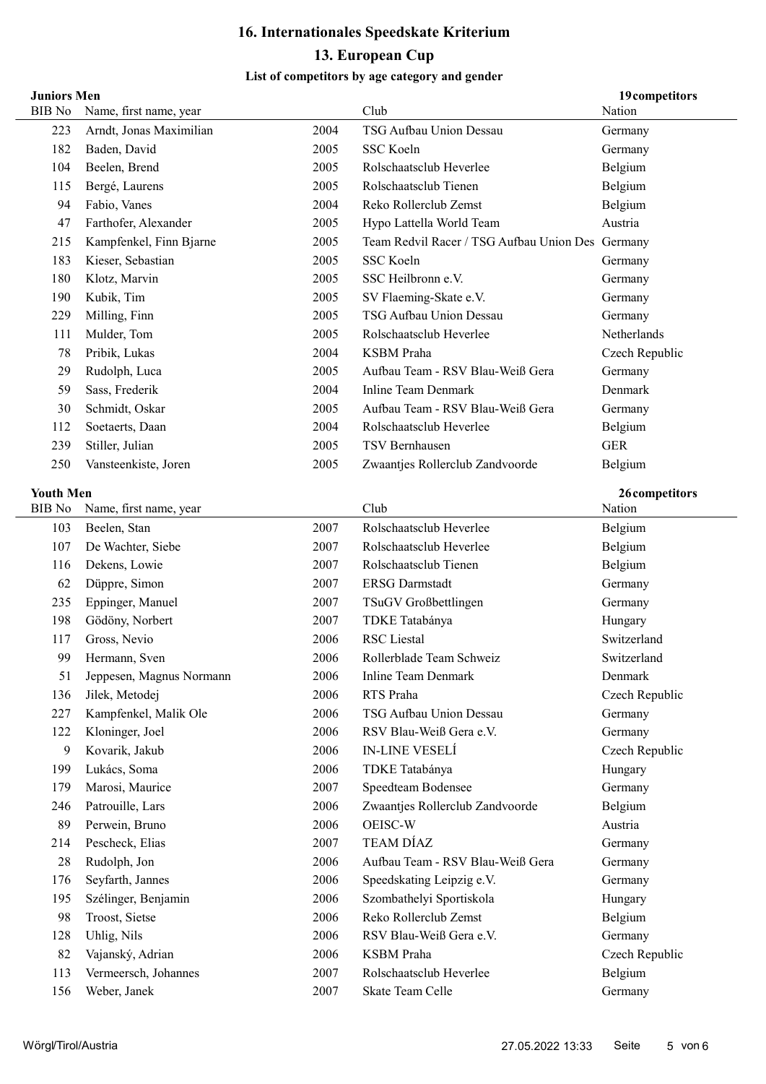### List of competitors by age category and gender

#### Juniors Men

| <b>Juniors Men</b>                |                          |      |                                                  | 19 competitors           |
|-----------------------------------|--------------------------|------|--------------------------------------------------|--------------------------|
| <b>BIB</b> No                     | Name, first name, year   |      | Club                                             | Nation                   |
| 223                               | Arndt, Jonas Maximilian  | 2004 | TSG Aufbau Union Dessau                          | Germany                  |
| 182                               | Baden, David             | 2005 | SSC Koeln                                        | Germany                  |
| 104                               | Beelen, Brend            | 2005 | Rolschaatsclub Heverlee                          | Belgium                  |
| 115                               | Bergé, Laurens           | 2005 | Rolschaatsclub Tienen                            | Belgium                  |
| 94                                | Fabio, Vanes             | 2004 | Reko Rollerclub Zemst                            | Belgium                  |
| 47                                | Farthofer, Alexander     | 2005 | Hypo Lattella World Team                         | Austria                  |
| 215                               | Kampfenkel, Finn Bjarne  | 2005 | Team Redvil Racer / TSG Aufbau Union Des Germany |                          |
| 183                               | Kieser, Sebastian        | 2005 | SSC Koeln                                        | Germany                  |
| 180                               | Klotz, Marvin            | 2005 | SSC Heilbronn e.V.                               | Germany                  |
| 190                               | Kubik, Tim               | 2005 | SV Flaeming-Skate e.V.                           | Germany                  |
| 229                               | Milling, Finn            | 2005 | TSG Aufbau Union Dessau                          | Germany                  |
| 111                               | Mulder, Tom              | 2005 | Rolschaatsclub Heverlee                          | Netherlands              |
| 78                                | Pribik, Lukas            | 2004 | <b>KSBM</b> Praha                                | Czech Republic           |
| 29                                | Rudolph, Luca            | 2005 | Aufbau Team - RSV Blau-Weiß Gera                 | Germany                  |
| 59                                | Sass, Frederik           | 2004 | <b>Inline Team Denmark</b>                       | Denmark                  |
| 30                                | Schmidt, Oskar           | 2005 | Aufbau Team - RSV Blau-Weiß Gera                 | Germany                  |
| 112                               | Soetaerts, Daan          | 2004 | Rolschaatsclub Heverlee                          | Belgium                  |
| 239                               | Stiller, Julian          | 2005 | <b>TSV Bernhausen</b>                            | <b>GER</b>               |
| 250                               | Vansteenkiste, Joren     | 2005 | Zwaantjes Rollerclub Zandvoorde                  | Belgium                  |
|                                   |                          |      |                                                  |                          |
| <b>Youth Men</b><br><b>BIB</b> No | Name, first name, year   |      | Club                                             | 26 competitors<br>Nation |
| 103                               | Beelen, Stan             | 2007 | Rolschaatsclub Heverlee                          | Belgium                  |
| 107                               | De Wachter, Siebe        | 2007 | Rolschaatsclub Heverlee                          | Belgium                  |
| 116                               | Dekens, Lowie            | 2007 | Rolschaatsclub Tienen                            | Belgium                  |
| 62                                | Düppre, Simon            | 2007 | <b>ERSG</b> Darmstadt                            | Germany                  |
| 235                               | Eppinger, Manuel         | 2007 | TSuGV Großbettlingen                             | Germany                  |
| 198                               | Gödöny, Norbert          | 2007 | TDKE Tatabánya                                   | Hungary                  |
| 117                               | Gross, Nevio             | 2006 | <b>RSC</b> Liestal                               | Switzerland              |
| 99                                | Hermann, Sven            | 2006 | Rollerblade Team Schweiz                         | Switzerland              |
| 51                                | Jeppesen, Magnus Normann | 2006 | <b>Inline Team Denmark</b>                       | Denmark                  |
| 136                               | Jilek, Metodej           | 2006 | RTS Praha                                        | Czech Republic           |
| 227                               | Kampfenkel, Malik Ole    | 2006 | TSG Aufbau Union Dessau                          | Germany                  |
| 122                               | Kloninger, Joel          | 2006 | RSV Blau-Weiß Gera e.V.                          | Germany                  |
| 9                                 | Kovarik, Jakub           | 2006 | <b>IN-LINE VESELÍ</b>                            | Czech Republic           |
| 199                               | Lukács, Soma             | 2006 | TDKE Tatabánya                                   | Hungary                  |
| 179                               | Marosi, Maurice          | 2007 | Speedteam Bodensee                               | Germany                  |
| 246                               | Patrouille, Lars         | 2006 | Zwaantjes Rollerclub Zandvoorde                  | Belgium                  |
| 89                                | Perwein, Bruno           | 2006 | OEISC-W                                          | Austria                  |
| 214                               | Pescheck, Elias          | 2007 | <b>TEAM DÍAZ</b>                                 | Germany                  |
| 28                                | Rudolph, Jon             | 2006 | Aufbau Team - RSV Blau-Weiß Gera                 | Germany                  |
| 176                               | Seyfarth, Jannes         | 2006 | Speedskating Leipzig e.V.                        | Germany                  |
| 195                               | Szélinger, Benjamin      | 2006 | Szombathelyi Sportiskola                         | Hungary                  |
| 98                                | Troost, Sietse           | 2006 | Reko Rollerclub Zemst                            | Belgium                  |
| 128                               | Uhlig, Nils              | 2006 | RSV Blau-Weiß Gera e.V.                          | Germany                  |
| 82                                | Vajanský, Adrian         | 2006 | <b>KSBM</b> Praha                                | Czech Republic           |
| 113                               | Vermeersch, Johannes     | 2007 | Rolschaatsclub Heverlee                          | Belgium                  |
| 156                               | Weber, Janek             | 2007 | Skate Team Celle                                 | Germany                  |
|                                   |                          |      |                                                  |                          |